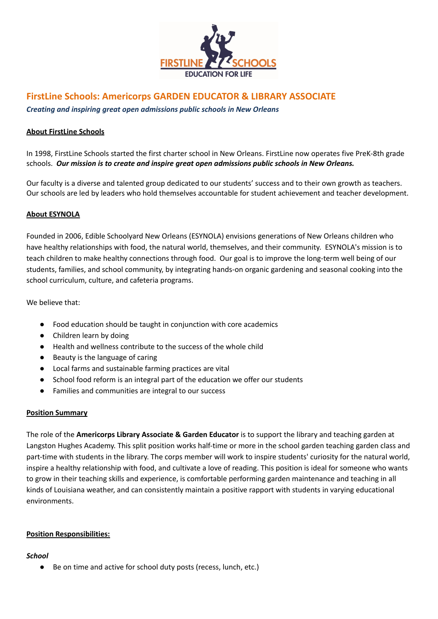

# **FirstLine Schools: Americorps GARDEN EDUCATOR & LIBRARY ASSOCIATE**

*Creating and inspiring great open admissions public schools in New Orleans*

## **About FirstLine Schools**

In 1998, FirstLine Schools started the first charter school in New Orleans. FirstLine now operates five PreK-8th grade schools. *Our mission is to create and inspire great open admissions public schools in New Orleans.*

Our faculty is a diverse and talented group dedicated to our students' success and to their own growth as teachers. Our schools are led by leaders who hold themselves accountable for student achievement and teacher development.

## **About ESYNOLA**

Founded in 2006, Edible Schoolyard New Orleans (ESYNOLA) envisions generations of New Orleans children who have healthy relationships with food, the natural world, themselves, and their community. ESYNOLA's mission is to teach children to make healthy connections through food. Our goal is to improve the long-term well being of our students, families, and school community, by integrating hands-on organic gardening and seasonal cooking into the school curriculum, culture, and cafeteria programs.

We believe that:

- Food education should be taught in conjunction with core academics
- Children learn by doing
- Health and wellness contribute to the success of the whole child
- Beauty is the language of caring
- Local farms and sustainable farming practices are vital
- School food reform is an integral part of the education we offer our students
- Families and communities are integral to our success

## **Position Summary**

The role of the **Americorps Library Associate & Garden Educator** is to support the library and teaching garden at Langston Hughes Academy. This split position works half-time or more in the school garden teaching garden class and part-time with students in the library. The corps member will work to inspire students' curiosity for the natural world, inspire a healthy relationship with food, and cultivate a love of reading. This position is ideal for someone who wants to grow in their teaching skills and experience, is comfortable performing garden maintenance and teaching in all kinds of Louisiana weather, and can consistently maintain a positive rapport with students in varying educational environments.

# **Position Responsibilities:**

## *School*

● Be on time and active for school duty posts (recess, lunch, etc.)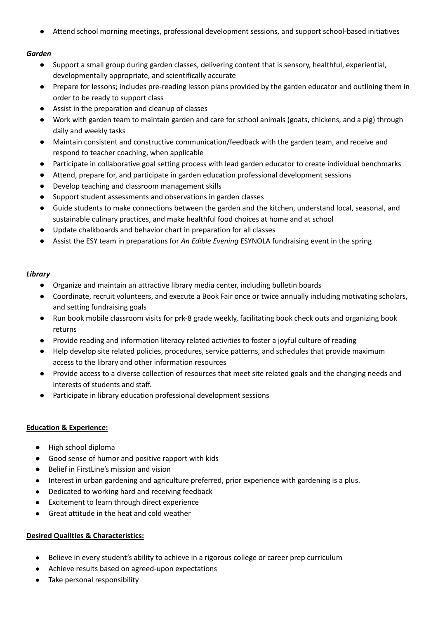● Attend school morning meetings, professional development sessions, and support school-based initiatives

# *Garden*

- Support a small group during garden classes, delivering content that is sensory, healthful, experiential, developmentally appropriate, and scientifically accurate
- Prepare for lessons; includes pre-reading lesson plans provided by the garden educator and outlining them in order to be ready to support class
- Assist in the preparation and cleanup of classes
- Work with garden team to maintain garden and care for school animals (goats, chickens, and a pig) through daily and weekly tasks
- Maintain consistent and constructive communication/feedback with the garden team, and receive and respond to teacher coaching, when applicable
- Participate in collaborative goal setting process with lead garden educator to create individual benchmarks
- Attend, prepare for, and participate in garden education professional development sessions
- Develop teaching and classroom management skills
- Support student assessments and observations in garden classes
- Guide students to make connections between the garden and the kitchen, understand local, seasonal, and sustainable culinary practices, and make healthful food choices at home and at school
- Update chalkboards and behavior chart in preparation for all classes
- Assist the ESY team in preparations for *An Edible Evening* ESYNOLA fundraising event in the spring

## *Library*

- Organize and maintain an attractive library media center, including bulletin boards
- Coordinate, recruit volunteers, and execute a Book Fair once or twice annually including motivating scholars, and setting fundraising goals
- Run book mobile classroom visits for prk-8 grade weekly, facilitating book check outs and organizing book returns
- Provide reading and information literacy related activities to foster a joyful culture of reading
- Help develop site related policies, procedures, service patterns, and schedules that provide maximum access to the library and other information resources
- Provide access to a diverse collection of resources that meet site related goals and the changing needs and interests of students and staff.
- Participate in library education professional development sessions

# **Education & Experience:**

- High school diploma
- Good sense of humor and positive rapport with kids
- Belief in FirstLine's mission and vision
- Interest in urban gardening and agriculture preferred, prior experience with gardening is a plus.
- Dedicated to working hard and receiving feedback
- Excitement to learn through direct experience
- Great attitude in the heat and cold weather

# **Desired Qualities & Characteristics:**

- Believe in every student's ability to achieve in a rigorous college or career prep curriculum
- Achieve results based on agreed-upon expectations
- Take personal responsibility